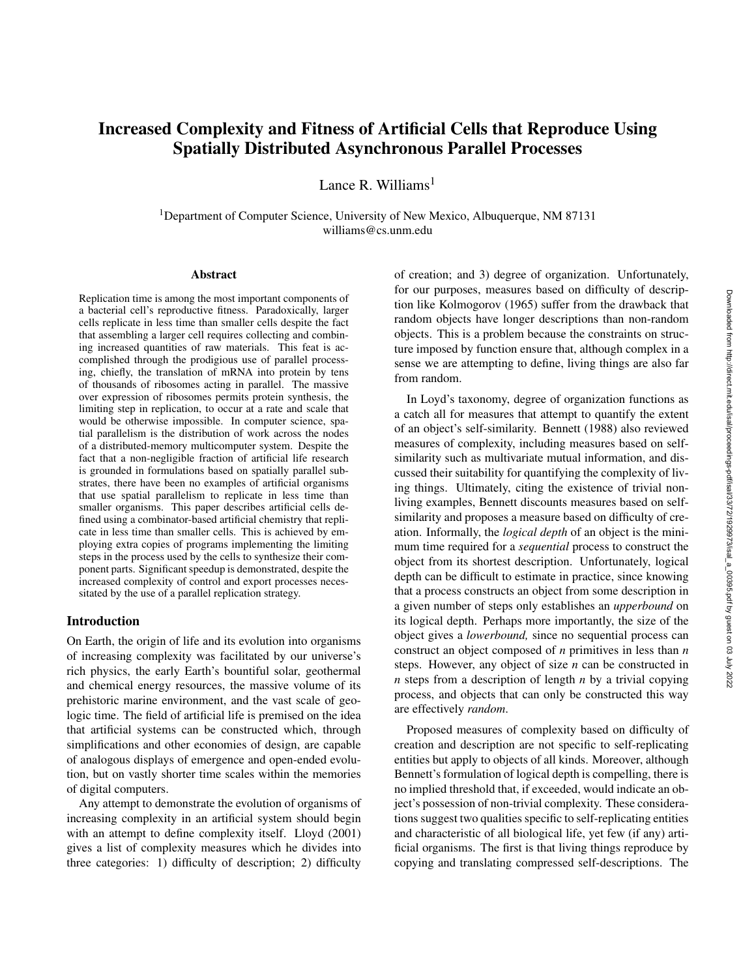# Increased Complexity and Fitness of Artificial Cells that Reproduce Using Spatially Distributed Asynchronous Parallel Processes

Lance R. Williams $<sup>1</sup>$ </sup>

<sup>1</sup>Department of Computer Science, University of New Mexico, Albuquerque, NM 87131 williams@cs.unm.edu

#### Abstract

Replication time is among the most important components of a bacterial cell's reproductive fitness. Paradoxically, larger cells replicate in less time than smaller cells despite the fact that assembling a larger cell requires collecting and combining increased quantities of raw materials. This feat is accomplished through the prodigious use of parallel processing, chiefly, the translation of mRNA into protein by tens of thousands of ribosomes acting in parallel. The massive over expression of ribosomes permits protein synthesis, the limiting step in replication, to occur at a rate and scale that would be otherwise impossible. In computer science, spatial parallelism is the distribution of work across the nodes of a distributed-memory multicomputer system. Despite the fact that a non-negligible fraction of artificial life research is grounded in formulations based on spatially parallel substrates, there have been no examples of artificial organisms that use spatial parallelism to replicate in less time than smaller organisms. This paper describes artificial cells defined using a combinator-based artificial chemistry that replicate in less time than smaller cells. This is achieved by employing extra copies of programs implementing the limiting steps in the process used by the cells to synthesize their component parts. Significant speedup is demonstrated, despite the increased complexity of control and export processes necessitated by the use of a parallel replication strategy.

#### Introduction

On Earth, the origin of life and its evolution into organisms of increasing complexity was facilitated by our universe's rich physics, the early Earth's bountiful solar, geothermal and chemical energy resources, the massive volume of its prehistoric marine environment, and the vast scale of geologic time. The field of artificial life is premised on the idea that artificial systems can be constructed which, through simplifications and other economies of design, are capable of analogous displays of emergence and open-ended evolution, but on vastly shorter time scales within the memories of digital computers.

Any attempt to demonstrate the evolution of organisms of increasing complexity in an artificial system should begin with an attempt to define complexity itself. Lloyd (2001) gives a list of complexity measures which he divides into three categories: 1) difficulty of description; 2) difficulty

of creation; and 3) degree of organization. Unfortunately, for our purposes, measures based on difficulty of description like Kolmogorov (1965) suffer from the drawback that random objects have longer descriptions than non-random objects. This is a problem because the constraints on structure imposed by function ensure that, although complex in a sense we are attempting to define, living things are also far from random.

In Loyd's taxonomy, degree of organization functions as a catch all for measures that attempt to quantify the extent of an object's self-similarity. Bennett (1988) also reviewed measures of complexity, including measures based on selfsimilarity such as multivariate mutual information, and discussed their suitability for quantifying the complexity of living things. Ultimately, citing the existence of trivial nonliving examples, Bennett discounts measures based on selfsimilarity and proposes a measure based on difficulty of creation. Informally, the *logical depth* of an object is the minimum time required for a *sequential* process to construct the object from its shortest description. Unfortunately, logical depth can be difficult to estimate in practice, since knowing that a process constructs an object from some description in a given number of steps only establishes an *upperbound* on its logical depth. Perhaps more importantly, the size of the object gives a *lowerbound,* since no sequential process can construct an object composed of *n* primitives in less than *n* steps. However, any object of size *n* can be constructed in *n* steps from a description of length *n* by a trivial copying process, and objects that can only be constructed this way are effectively *random*.

Proposed measures of complexity based on difficulty of creation and description are not specific to self-replicating entities but apply to objects of all kinds. Moreover, although Bennett's formulation of logical depth is compelling, there is no implied threshold that, if exceeded, would indicate an object's possession of non-trivial complexity. These considerations suggest two qualities specific to self-replicating entities and characteristic of all biological life, yet few (if any) artificial organisms. The first is that living things reproduce by copying and translating compressed self-descriptions. The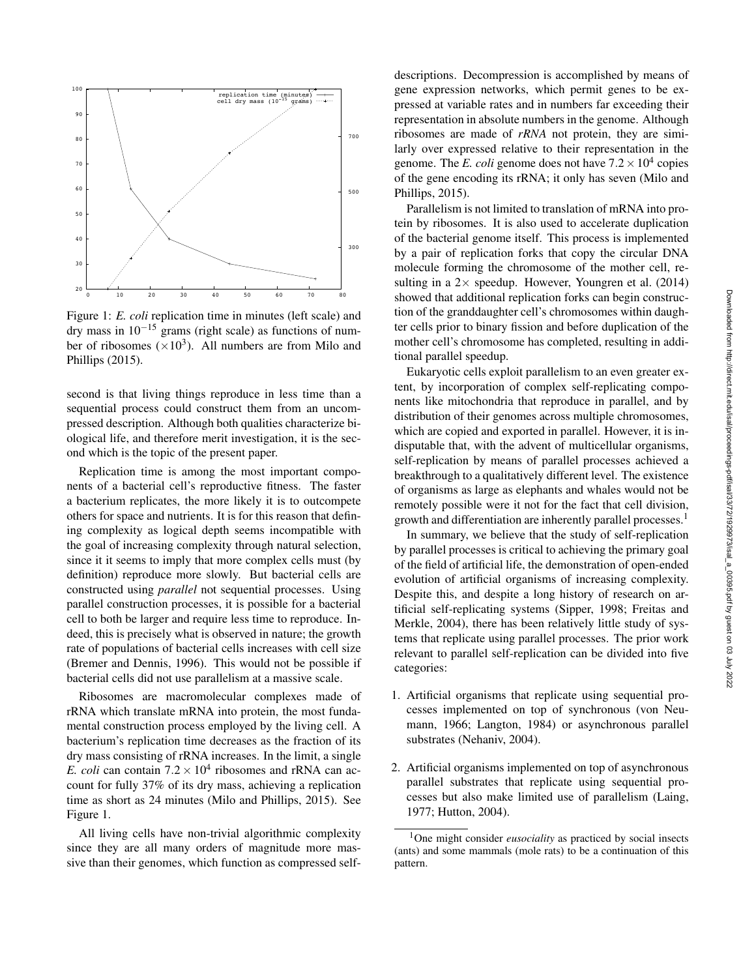

Figure 1: *E. coli* replication time in minutes (left scale) and dry mass in  $10^{-15}$  grams (right scale) as functions of number of ribosomes ( $\times 10^3$ ). All numbers are from Milo and Phillips (2015).

second is that living things reproduce in less time than a sequential process could construct them from an uncompressed description. Although both qualities characterize biological life, and therefore merit investigation, it is the second which is the topic of the present paper.

Replication time is among the most important components of a bacterial cell's reproductive fitness. The faster a bacterium replicates, the more likely it is to outcompete others for space and nutrients. It is for this reason that defining complexity as logical depth seems incompatible with the goal of increasing complexity through natural selection, since it it seems to imply that more complex cells must (by definition) reproduce more slowly. But bacterial cells are constructed using *parallel* not sequential processes. Using parallel construction processes, it is possible for a bacterial cell to both be larger and require less time to reproduce. Indeed, this is precisely what is observed in nature; the growth rate of populations of bacterial cells increases with cell size (Bremer and Dennis, 1996). This would not be possible if bacterial cells did not use parallelism at a massive scale.

Ribosomes are macromolecular complexes made of rRNA which translate mRNA into protein, the most fundamental construction process employed by the living cell. A bacterium's replication time decreases as the fraction of its dry mass consisting of rRNA increases. In the limit, a single *E. coli* can contain  $7.2 \times 10^4$  ribosomes and rRNA can account for fully 37% of its dry mass, achieving a replication time as short as 24 minutes (Milo and Phillips, 2015). See Figure 1.

All living cells have non-trivial algorithmic complexity since they are all many orders of magnitude more massive than their genomes, which function as compressed self-

descriptions. Decompression is accomplished by means of gene expression networks, which permit genes to be expressed at variable rates and in numbers far exceeding their representation in absolute numbers in the genome. Although ribosomes are made of *rRNA* not protein, they are similarly over expressed relative to their representation in the genome. The *E. coli* genome does not have  $7.2 \times 10^4$  copies of the gene encoding its rRNA; it only has seven (Milo and Phillips, 2015).

Parallelism is not limited to translation of mRNA into protein by ribosomes. It is also used to accelerate duplication of the bacterial genome itself. This process is implemented by a pair of replication forks that copy the circular DNA molecule forming the chromosome of the mother cell, resulting in a  $2 \times$  speedup. However, Youngren et al. (2014) showed that additional replication forks can begin construction of the granddaughter cell's chromosomes within daughter cells prior to binary fission and before duplication of the mother cell's chromosome has completed, resulting in additional parallel speedup.

Eukaryotic cells exploit parallelism to an even greater extent, by incorporation of complex self-replicating components like mitochondria that reproduce in parallel, and by distribution of their genomes across multiple chromosomes, which are copied and exported in parallel. However, it is indisputable that, with the advent of multicellular organisms, self-replication by means of parallel processes achieved a breakthrough to a qualitatively different level. The existence of organisms as large as elephants and whales would not be remotely possible were it not for the fact that cell division, growth and differentiation are inherently parallel processes.<sup>1</sup>

In summary, we believe that the study of self-replication by parallel processes is critical to achieving the primary goal of the field of artificial life, the demonstration of open-ended evolution of artificial organisms of increasing complexity. Despite this, and despite a long history of research on artificial self-replicating systems (Sipper, 1998; Freitas and Merkle, 2004), there has been relatively little study of systems that replicate using parallel processes. The prior work relevant to parallel self-replication can be divided into five categories:

- 1. Artificial organisms that replicate using sequential processes implemented on top of synchronous (von Neumann, 1966; Langton, 1984) or asynchronous parallel substrates (Nehaniv, 2004).
- 2. Artificial organisms implemented on top of asynchronous parallel substrates that replicate using sequential processes but also make limited use of parallelism (Laing, 1977; Hutton, 2004).

<sup>&</sup>lt;sup>1</sup>One might consider *eusociality* as practiced by social insects (ants) and some mammals (mole rats) to be a continuation of this pattern.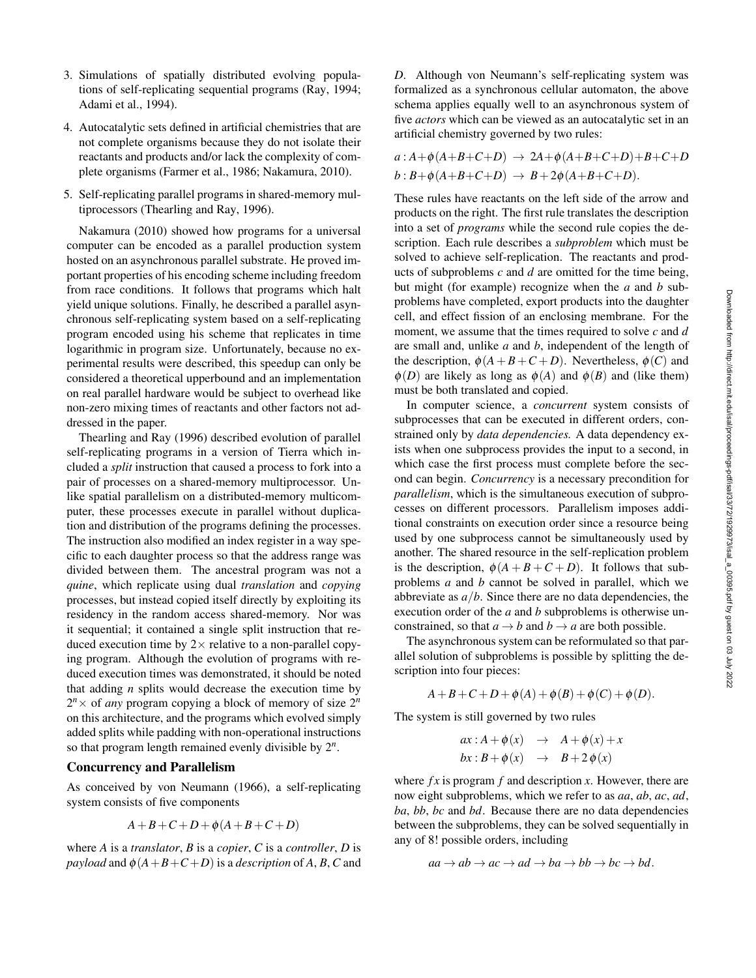- 3. Simulations of spatially distributed evolving populations of self-replicating sequential programs (Ray, 1994; Adami et al., 1994).
- 4. Autocatalytic sets defined in artificial chemistries that are not complete organisms because they do not isolate their reactants and products and/or lack the complexity of complete organisms (Farmer et al., 1986; Nakamura, 2010).
- 5. Self-replicating parallel programs in shared-memory multiprocessors (Thearling and Ray, 1996).

Nakamura (2010) showed how programs for a universal computer can be encoded as a parallel production system hosted on an asynchronous parallel substrate. He proved important properties of his encoding scheme including freedom from race conditions. It follows that programs which halt yield unique solutions. Finally, he described a parallel asynchronous self-replicating system based on a self-replicating program encoded using his scheme that replicates in time logarithmic in program size. Unfortunately, because no experimental results were described, this speedup can only be considered a theoretical upperbound and an implementation on real parallel hardware would be subject to overhead like non-zero mixing times of reactants and other factors not addressed in the paper.

Thearling and Ray (1996) described evolution of parallel self-replicating programs in a version of Tierra which included a *split* instruction that caused a process to fork into a pair of processes on a shared-memory multiprocessor. Unlike spatial parallelism on a distributed-memory multicomputer, these processes execute in parallel without duplication and distribution of the programs defining the processes. The instruction also modified an index register in a way specific to each daughter process so that the address range was divided between them. The ancestral program was not a *quine*, which replicate using dual *translation* and *copying* processes, but instead copied itself directly by exploiting its residency in the random access shared-memory. Nor was it sequential; it contained a single split instruction that reduced execution time by  $2 \times$  relative to a non-parallel copying program. Although the evolution of programs with reduced execution times was demonstrated, it should be noted that adding *n* splits would decrease the execution time by  $2^n \times$  of *any* program copying a block of memory of size  $2^n$ on this architecture, and the programs which evolved simply added splits while padding with non-operational instructions so that program length remained evenly divisible by 2*n*.

### Concurrency and Parallelism

As conceived by von Neumann (1966), a self-replicating system consists of five components

$$
A+B+C+D+\phi(A+B+C+D)
$$

where *A* is a *translator*, *B* is a *copier*, *C* is a *controller*, *D* is *payload* and  $\phi$ ( $A$  +  $B$  +  $C$  +  $D$ ) is a *description* of  $A$ ,  $B$ ,  $C$  and

*D*. Although von Neumann's self-replicating system was formalized as a synchronous cellular automaton, the above schema applies equally well to an asynchronous system of five *actors* which can be viewed as an autocatalytic set in an artificial chemistry governed by two rules:

$$
a: A+\phi(A+B+C+D) \rightarrow 2A+\phi(A+B+C+D)+B+C+D
$$
  

$$
b: B+\phi(A+B+C+D) \rightarrow B+2\phi(A+B+C+D).
$$

These rules have reactants on the left side of the arrow and products on the right. The first rule translates the description into a set of *programs* while the second rule copies the description. Each rule describes a *subproblem* which must be solved to achieve self-replication. The reactants and products of subproblems *c* and *d* are omitted for the time being, but might (for example) recognize when the *a* and *b* subproblems have completed, export products into the daughter cell, and effect fission of an enclosing membrane. For the moment, we assume that the times required to solve *c* and *d* are small and, unlike *a* and *b*, independent of the length of the description,  $\phi(A + B + C + D)$ . Nevertheless,  $\phi(C)$  and  $\phi(D)$  are likely as long as  $\phi(A)$  and  $\phi(B)$  and (like them) must be both translated and copied.

In computer science, a *concurrent* system consists of subprocesses that can be executed in different orders, constrained only by *data dependencies.* A data dependency exists when one subprocess provides the input to a second, in which case the first process must complete before the second can begin. *Concurrency* is a necessary precondition for *parallelism*, which is the simultaneous execution of subprocesses on different processors. Parallelism imposes additional constraints on execution order since a resource being used by one subprocess cannot be simultaneously used by another. The shared resource in the self-replication problem is the description,  $\phi(A + B + C + D)$ . It follows that subproblems *a* and *b* cannot be solved in parallel, which we abbreviate as *a/b*. Since there are no data dependencies, the execution order of the *a* and *b* subproblems is otherwise unconstrained, so that  $a \rightarrow b$  and  $b \rightarrow a$  are both possible.

The asynchronous system can be reformulated so that parallel solution of subproblems is possible by splitting the description into four pieces:

$$
A+B+C+D+\phi(A)+\phi(B)+\phi(C)+\phi(D).
$$

The system is still governed by two rules

$$
ax : A + \phi(x) \rightarrow A + \phi(x) + x
$$
  

$$
bx : B + \phi(x) \rightarrow B + 2\phi(x)
$$

where  $fx$  is program  $f$  and description  $x$ . However, there are now eight subproblems, which we refer to as *aa*, *ab*, *ac*, *ad*, *ba*, *bb*, *bc* and *bd*. Because there are no data dependencies between the subproblems, they can be solved sequentially in any of 8! possible orders, including

$$
aa \to ab \to ac \to ad \to ba \to bb \to bc \to bd.
$$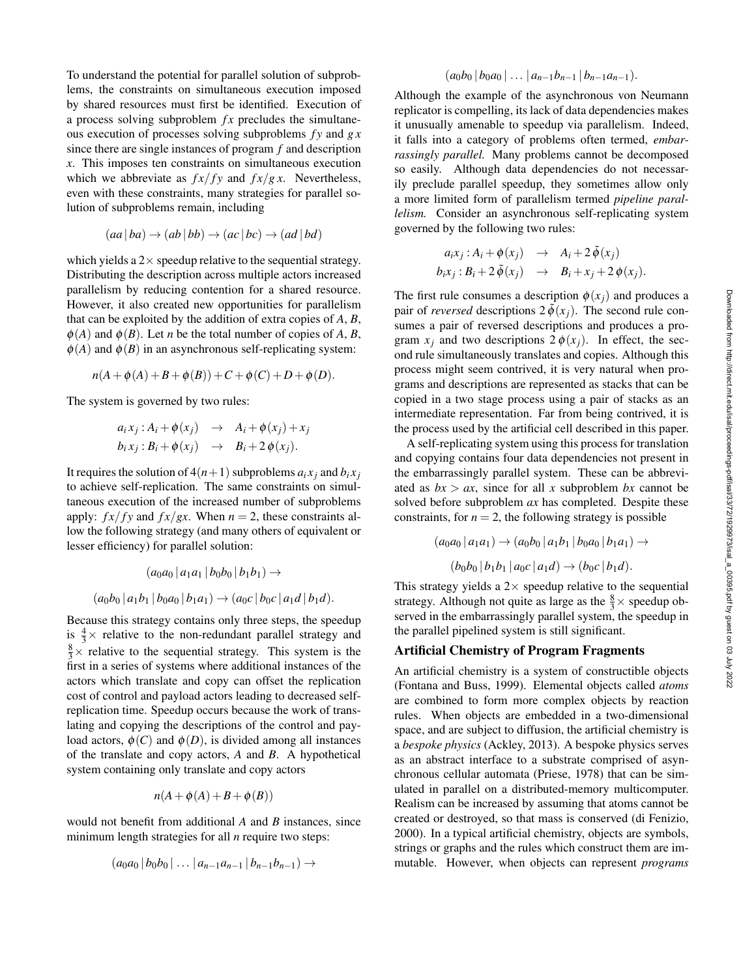To understand the potential for parallel solution of subproblems, the constraints on simultaneous execution imposed by shared resources must first be identified. Execution of a process solving subproblem  $fx$  precludes the simultaneous execution of processes solving subproblems *f y* and *g x* since there are single instances of program *f* and description *x*. This imposes ten constraints on simultaneous execution which we abbreviate as  $f x / f y$  and  $f x / g x$ . Nevertheless, even with these constraints, many strategies for parallel solution of subproblems remain, including

$$
(aa | ba) \rightarrow (ab | bb) \rightarrow (ac | bc) \rightarrow (ad | bd)
$$

which yields a  $2 \times$  speedup relative to the sequential strategy. Distributing the description across multiple actors increased parallelism by reducing contention for a shared resource. However, it also created new opportunities for parallelism that can be exploited by the addition of extra copies of *A*, *B*,  $\phi(A)$  and  $\phi(B)$ . Let *n* be the total number of copies of *A*, *B*,  $\phi(A)$  and  $\phi(B)$  in an asynchronous self-replicating system:

$$
n(A + \phi(A) + B + \phi(B)) + C + \phi(C) + D + \phi(D).
$$

The system is governed by two rules:

$$
a_i x_j : A_i + \phi(x_j) \rightarrow A_i + \phi(x_j) + x_j
$$
  
\n
$$
b_i x_j : B_i + \phi(x_j) \rightarrow B_i + 2 \phi(x_j).
$$

It requires the solution of  $4(n+1)$  subproblems  $a_i x_i$  and  $b_i x_j$ to achieve self-replication. The same constraints on simultaneous execution of the increased number of subproblems apply:  $f x / f y$  and  $f x / gx$ . When  $n = 2$ , these constraints allow the following strategy (and many others of equivalent or lesser efficiency) for parallel solution:

$$
(a_0a_0 | a_1a_1 | b_0b_0 | b_1b_1) \rightarrow
$$
  

$$
(a_0b_0 | a_1b_1 | b_0a_0 | b_1a_1) \rightarrow (a_0c | b_0c | a_1d | b_1d).
$$

Because this strategy contains only three steps, the speedup is  $\frac{4}{3} \times$  relative to the non-redundant parallel strategy and  $\frac{8}{3}$  × relative to the sequential strategy. This system is the first in a series of systems where additional instances of the actors which translate and copy can offset the replication cost of control and payload actors leading to decreased selfreplication time. Speedup occurs because the work of translating and copying the descriptions of the control and payload actors,  $\phi(C)$  and  $\phi(D)$ , is divided among all instances of the translate and copy actors, *A* and *B*. A hypothetical system containing only translate and copy actors

$$
n(A + \phi(A) + B + \phi(B))
$$

would not benefit from additional *A* and *B* instances, since minimum length strategies for all *n* require two steps:

$$
(a_0a_0|b_0b_0|...|a_{n-1}a_{n-1}|b_{n-1}b_{n-1})\rightarrow
$$

$$
(a_0b_0|b_0a_0|...|a_{n-1}b_{n-1}|b_{n-1}a_{n-1}).
$$

Although the example of the asynchronous von Neumann replicator is compelling, its lack of data dependencies makes it unusually amenable to speedup via parallelism. Indeed, it falls into a category of problems often termed, *embarrassingly parallel.* Many problems cannot be decomposed so easily. Although data dependencies do not necessarily preclude parallel speedup, they sometimes allow only a more limited form of parallelism termed *pipeline parallelism.* Consider an asynchronous self-replicating system governed by the following two rules:

$$
a_i x_j : A_i + \phi(x_j) \rightarrow A_i + 2 \tilde{\phi}(x_j)
$$
  

$$
b_i x_j : B_i + 2 \tilde{\phi}(x_j) \rightarrow B_i + x_j + 2 \phi(x_j).
$$

The first rule consumes a description  $\phi(x_i)$  and produces a pair of *reversed* descriptions  $2\phi(x_i)$ . The second rule consumes a pair of reversed descriptions and produces a program  $x_j$  and two descriptions  $2\phi(x_j)$ . In effect, the second rule simultaneously translates and copies. Although this process might seem contrived, it is very natural when programs and descriptions are represented as stacks that can be copied in a two stage process using a pair of stacks as an intermediate representation. Far from being contrived, it is the process used by the artificial cell described in this paper.

A self-replicating system using this process for translation and copying contains four data dependencies not present in the embarrassingly parallel system. These can be abbreviated as  $bx > ax$ , since for all x subproblem bx cannot be solved before subproblem *ax* has completed. Despite these constraints, for  $n = 2$ , the following strategy is possible

$$
(a_0a_0 | a_1a_1) \to (a_0b_0 | a_1b_1 | b_0a_0 | b_1a_1) \to (b_0b_0 | b_1b_1 | a_0c | a_1d) \to (b_0c | b_1d).
$$

This strategy yields a  $2 \times$  speedup relative to the sequential strategy. Although not quite as large as the  $\frac{8}{3} \times$  speedup observed in the embarrassingly parallel system, the speedup in the parallel pipelined system is still significant.

#### Artificial Chemistry of Program Fragments

An artificial chemistry is a system of constructible objects (Fontana and Buss, 1999). Elemental objects called *atoms* are combined to form more complex objects by reaction rules. When objects are embedded in a two-dimensional space, and are subject to diffusion, the artificial chemistry is a *bespoke physics* (Ackley, 2013). A bespoke physics serves as an abstract interface to a substrate comprised of asynchronous cellular automata (Priese, 1978) that can be simulated in parallel on a distributed-memory multicomputer. Realism can be increased by assuming that atoms cannot be created or destroyed, so that mass is conserved (di Fenizio, 2000). In a typical artificial chemistry, objects are symbols, strings or graphs and the rules which construct them are immutable. However, when objects can represent *programs*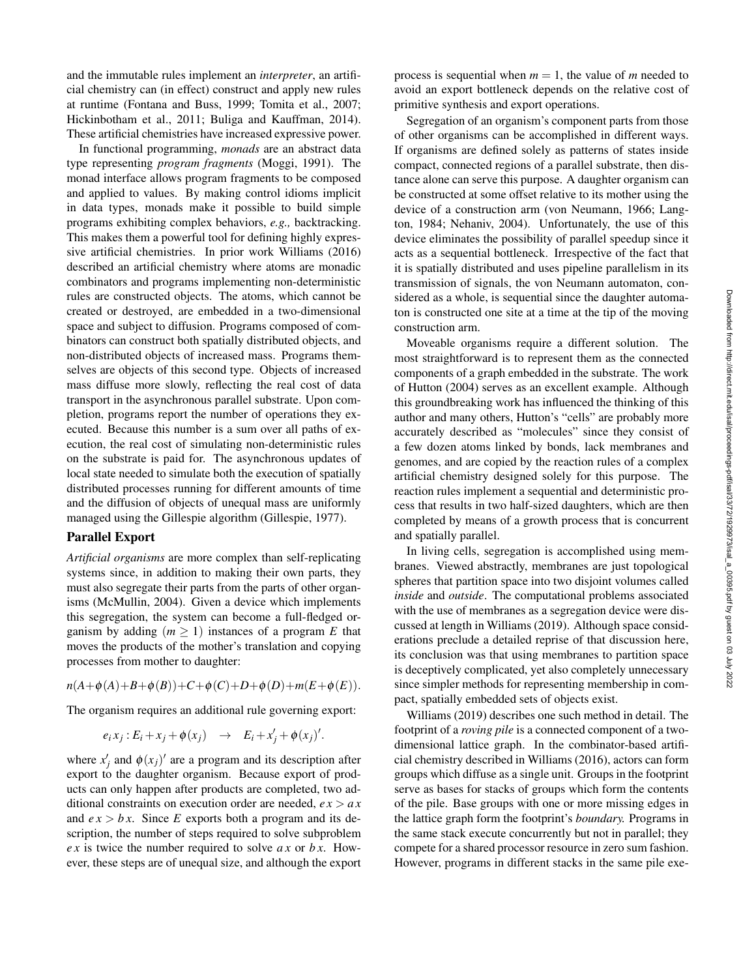and the immutable rules implement an *interpreter*, an artificial chemistry can (in effect) construct and apply new rules at runtime (Fontana and Buss, 1999; Tomita et al., 2007; Hickinbotham et al., 2011; Buliga and Kauffman, 2014). These artificial chemistries have increased expressive power.

In functional programming, *monads* are an abstract data type representing *program fragments* (Moggi, 1991). The monad interface allows program fragments to be composed and applied to values. By making control idioms implicit in data types, monads make it possible to build simple programs exhibiting complex behaviors, *e.g.,* backtracking. This makes them a powerful tool for defining highly expressive artificial chemistries. In prior work Williams (2016) described an artificial chemistry where atoms are monadic combinators and programs implementing non-deterministic rules are constructed objects. The atoms, which cannot be created or destroyed, are embedded in a two-dimensional space and subject to diffusion. Programs composed of combinators can construct both spatially distributed objects, and non-distributed objects of increased mass. Programs themselves are objects of this second type. Objects of increased mass diffuse more slowly, reflecting the real cost of data transport in the asynchronous parallel substrate. Upon completion, programs report the number of operations they executed. Because this number is a sum over all paths of execution, the real cost of simulating non-deterministic rules on the substrate is paid for. The asynchronous updates of local state needed to simulate both the execution of spatially distributed processes running for different amounts of time and the diffusion of objects of unequal mass are uniformly managed using the Gillespie algorithm (Gillespie, 1977).

#### Parallel Export

*Artificial organisms* are more complex than self-replicating systems since, in addition to making their own parts, they must also segregate their parts from the parts of other organisms (McMullin, 2004). Given a device which implements this segregation, the system can become a full-fledged organism by adding  $(m \geq 1)$  instances of a program *E* that moves the products of the mother's translation and copying processes from mother to daughter:

 $n(A+\phi(A)+B+\phi(B))+C+\phi(C)+D+\phi(D)+m(E+\phi(E)).$ 

The organism requires an additional rule governing export:

$$
e_i x_j : E_i + x_j + \phi(x_j) \rightarrow E_i + x'_j + \phi(x_j)'
$$
.

where  $x'_{j}$  and  $\phi(x_{j})'$  are a program and its description after export to the daughter organism. Because export of products can only happen after products are completed, two additional constraints on execution order are needed,  $ex > ax$ and  $e x > b x$ . Since *E* exports both a program and its description, the number of steps required to solve subproblem *e x* is twice the number required to solve *a x* or *b x*. However, these steps are of unequal size, and although the export process is sequential when  $m = 1$ , the value of m needed to avoid an export bottleneck depends on the relative cost of primitive synthesis and export operations.

Segregation of an organism's component parts from those of other organisms can be accomplished in different ways. If organisms are defined solely as patterns of states inside compact, connected regions of a parallel substrate, then distance alone can serve this purpose. A daughter organism can be constructed at some offset relative to its mother using the device of a construction arm (von Neumann, 1966; Langton, 1984; Nehaniv, 2004). Unfortunately, the use of this device eliminates the possibility of parallel speedup since it acts as a sequential bottleneck. Irrespective of the fact that it is spatially distributed and uses pipeline parallelism in its transmission of signals, the von Neumann automaton, considered as a whole, is sequential since the daughter automaton is constructed one site at a time at the tip of the moving construction arm.

Moveable organisms require a different solution. The most straightforward is to represent them as the connected components of a graph embedded in the substrate. The work of Hutton (2004) serves as an excellent example. Although this groundbreaking work has influenced the thinking of this author and many others, Hutton's "cells" are probably more accurately described as "molecules" since they consist of a few dozen atoms linked by bonds, lack membranes and genomes, and are copied by the reaction rules of a complex artificial chemistry designed solely for this purpose. The reaction rules implement a sequential and deterministic process that results in two half-sized daughters, which are then completed by means of a growth process that is concurrent and spatially parallel.

In living cells, segregation is accomplished using membranes. Viewed abstractly, membranes are just topological spheres that partition space into two disjoint volumes called *inside* and *outside*. The computational problems associated with the use of membranes as a segregation device were discussed at length in Williams (2019). Although space considerations preclude a detailed reprise of that discussion here, its conclusion was that using membranes to partition space is deceptively complicated, yet also completely unnecessary since simpler methods for representing membership in compact, spatially embedded sets of objects exist.

Williams (2019) describes one such method in detail. The footprint of a *roving pile* is a connected component of a twodimensional lattice graph. In the combinator-based artificial chemistry described in Williams (2016), actors can form groups which diffuse as a single unit. Groups in the footprint serve as bases for stacks of groups which form the contents of the pile. Base groups with one or more missing edges in the lattice graph form the footprint's *boundary.* Programs in the same stack execute concurrently but not in parallel; they compete for a shared processor resource in zero sum fashion. However, programs in different stacks in the same pile exe-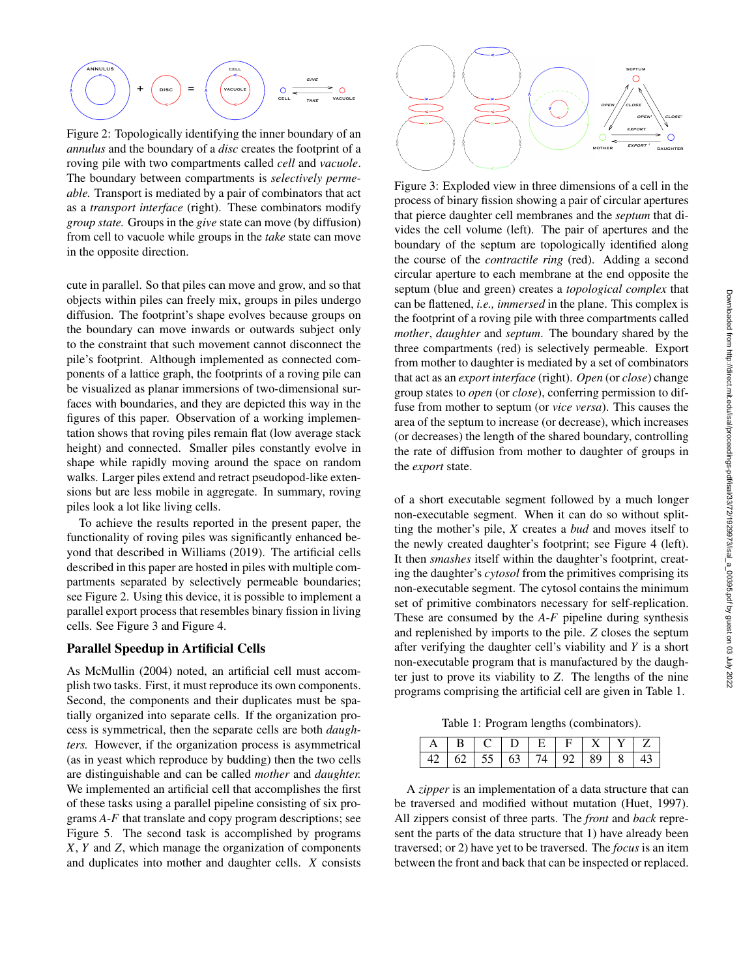

Figure 2: Topologically identifying the inner boundary of an *annulus* and the boundary of a *disc* creates the footprint of a roving pile with two compartments called *cell* and *vacuole*. The boundary between compartments is *selectively permeable.* Transport is mediated by a pair of combinators that act as a *transport interface* (right). These combinators modify *group state.* Groups in the *give* state can move (by diffusion) from cell to vacuole while groups in the *take* state can move in the opposite direction.

cute in parallel. So that piles can move and grow, and so that objects within piles can freely mix, groups in piles undergo diffusion. The footprint's shape evolves because groups on the boundary can move inwards or outwards subject only to the constraint that such movement cannot disconnect the pile's footprint. Although implemented as connected components of a lattice graph, the footprints of a roving pile can be visualized as planar immersions of two-dimensional surfaces with boundaries, and they are depicted this way in the figures of this paper. Observation of a working implementation shows that roving piles remain flat (low average stack height) and connected. Smaller piles constantly evolve in shape while rapidly moving around the space on random walks. Larger piles extend and retract pseudopod-like extensions but are less mobile in aggregate. In summary, roving piles look a lot like living cells.

To achieve the results reported in the present paper, the functionality of roving piles was significantly enhanced beyond that described in Williams (2019). The artificial cells described in this paper are hosted in piles with multiple compartments separated by selectively permeable boundaries; see Figure 2. Using this device, it is possible to implement a parallel export process that resembles binary fission in living cells. See Figure 3 and Figure 4.

#### Parallel Speedup in Artificial Cells

As McMullin (2004) noted, an artificial cell must accomplish two tasks. First, it must reproduce its own components. Second, the components and their duplicates must be spatially organized into separate cells. If the organization process is symmetrical, then the separate cells are both *daughters.* However, if the organization process is asymmetrical (as in yeast which reproduce by budding) then the two cells are distinguishable and can be called *mother* and *daughter.* We implemented an artificial cell that accomplishes the first of these tasks using a parallel pipeline consisting of six programs *A*-*F* that translate and copy program descriptions; see Figure 5. The second task is accomplished by programs *X*, *Y* and *Z*, which manage the organization of components and duplicates into mother and daughter cells. *X* consists



Figure 3: Exploded view in three dimensions of a cell in the process of binary fission showing a pair of circular apertures that pierce daughter cell membranes and the *septum* that divides the cell volume (left). The pair of apertures and the boundary of the septum are topologically identified along the course of the *contractile ring* (red). Adding a second circular aperture to each membrane at the end opposite the septum (blue and green) creates a *topological complex* that can be flattened, *i.e., immersed* in the plane. This complex is the footprint of a roving pile with three compartments called *mother*, *daughter* and *septum*. The boundary shared by the three compartments (red) is selectively permeable. Export from mother to daughter is mediated by a set of combinators that act as an *export interface* (right). *Open* (or *close*) change group states to *open* (or *close*), conferring permission to diffuse from mother to septum (or *vice versa*). This causes the area of the septum to increase (or decrease), which increases (or decreases) the length of the shared boundary, controlling the rate of diffusion from mother to daughter of groups in the *export* state.

of a short executable segment followed by a much longer non-executable segment. When it can do so without splitting the mother's pile, *X* creates a *bud* and moves itself to the newly created daughter's footprint; see Figure 4 (left). It then *smashes* itself within the daughter's footprint, creating the daughter's *cytosol* from the primitives comprising its non-executable segment. The cytosol contains the minimum set of primitive combinators necessary for self-replication. These are consumed by the *A*-*F* pipeline during synthesis and replenished by imports to the pile. *Z* closes the septum after verifying the daughter cell's viability and *Y* is a short non-executable program that is manufactured by the daughter just to prove its viability to *Z*. The lengths of the nine programs comprising the artificial cell are given in Table 1.

Table 1: Program lengths (combinators).

| $B \cup C \cup D \cup E \cup F \cup X \cup Y \cup Z$ |  |  |  |  |
|------------------------------------------------------|--|--|--|--|
| 42   62   55   63   74   92   89   8   43            |  |  |  |  |

A *zipper* is an implementation of a data structure that can be traversed and modified without mutation (Huet, 1997). All zippers consist of three parts. The *front* and *back* represent the parts of the data structure that 1) have already been traversed; or 2) have yet to be traversed. The *focus* is an item between the front and back that can be inspected or replaced.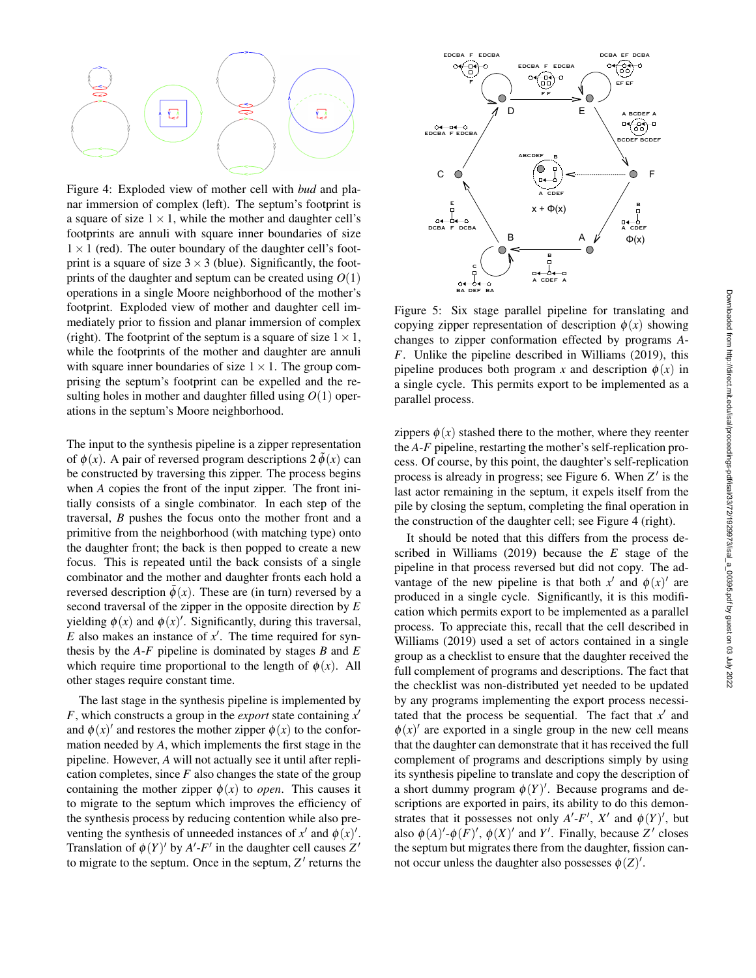

Figure 4: Exploded view of mother cell with *bud* and planar immersion of complex (left). The septum's footprint is a square of size  $1 \times 1$ , while the mother and daughter cell's footprints are annuli with square inner boundaries of size  $1 \times 1$  (red). The outer boundary of the daughter cell's footprint is a square of size  $3 \times 3$  (blue). Significantly, the footprints of the daughter and septum can be created using  $O(1)$ operations in a single Moore neighborhood of the mother's footprint. Exploded view of mother and daughter cell immediately prior to fission and planar immersion of complex (right). The footprint of the septum is a square of size  $1 \times 1$ , while the footprints of the mother and daughter are annuli with square inner boundaries of size  $1 \times 1$ . The group comprising the septum's footprint can be expelled and the resulting holes in mother and daughter filled using  $O(1)$  operations in the septum's Moore neighborhood.

The input to the synthesis pipeline is a zipper representation of  $\phi(x)$ . A pair of reversed program descriptions  $2\phi(x)$  can be constructed by traversing this zipper. The process begins when *A* copies the front of the input zipper. The front initially consists of a single combinator. In each step of the traversal, *B* pushes the focus onto the mother front and a primitive from the neighborhood (with matching type) onto the daughter front; the back is then popped to create a new focus. This is repeated until the back consists of a single combinator and the mother and daughter fronts each hold a reversed description  $\tilde{\phi}(x)$ . These are (in turn) reversed by a second traversal of the zipper in the opposite direction by *E* yielding  $\phi(x)$  and  $\phi(x)'$ . Significantly, during this traversal,  $E$  also makes an instance of  $x'$ . The time required for synthesis by the *A*-*F* pipeline is dominated by stages *B* and *E* which require time proportional to the length of  $\phi(x)$ . All other stages require constant time.

The last stage in the synthesis pipeline is implemented by *F*, which constructs a group in the *export* state containing  $x^{\prime}$ and  $\phi(x)$  and restores the mother zipper  $\phi(x)$  to the conformation needed by *A*, which implements the first stage in the pipeline. However, *A* will not actually see it until after replication completes, since  $F$  also changes the state of the group containing the mother zipper  $\phi(x)$  to *open*. This causes it to migrate to the septum which improves the efficiency of the synthesis process by reducing contention while also preventing the synthesis of unneeded instances of  $x'$  and  $\phi(x)'$ . Translation of  $\phi(Y)'$  by *A'-F'* in the daughter cell causes  $Z'$ to migrate to the septum. Once in the septum,  $Z'$  returns the



Figure 5: Six stage parallel pipeline for translating and copying zipper representation of description  $\phi(x)$  showing changes to zipper conformation effected by programs *A*-*F*. Unlike the pipeline described in Williams (2019), this pipeline produces both program *x* and description  $\phi(x)$  in a single cycle. This permits export to be implemented as a parallel process.

zippers  $\phi(x)$  stashed there to the mother, where they reenter the *A*-*F* pipeline, restarting the mother's self-replication process. Of course, by this point, the daughter's self-replication process is already in progress; see Figure 6. When  $Z'$  is the last actor remaining in the septum, it expels itself from the pile by closing the septum, completing the final operation in the construction of the daughter cell; see Figure 4 (right).

It should be noted that this differs from the process described in Williams (2019) because the *E* stage of the pipeline in that process reversed but did not copy. The advantage of the new pipeline is that both  $x<sup>0</sup>$  and  $\phi(x)<sup>0</sup>$  are produced in a single cycle. Significantly, it is this modification which permits export to be implemented as a parallel process. To appreciate this, recall that the cell described in Williams (2019) used a set of actors contained in a single group as a checklist to ensure that the daughter received the full complement of programs and descriptions. The fact that the checklist was non-distributed yet needed to be updated by any programs implementing the export process necessitated that the process be sequential. The fact that  $x<sup>0</sup>$  and  $\phi(x)$  are exported in a single group in the new cell means that the daughter can demonstrate that it has received the full complement of programs and descriptions simply by using its synthesis pipeline to translate and copy the description of a short dummy program  $\phi(Y)'$ . Because programs and descriptions are exported in pairs, its ability to do this demonstrates that it possesses not only  $A'-F'$ ,  $X'$  and  $\phi(Y)'$ , but also  $\phi(A)'$ - $\phi(F)'$ ,  $\phi(X)'$  and *Y'*. Finally, because *Z'* closes the septum but migrates there from the daughter, fission cannot occur unless the daughter also possesses  $\phi(Z)$ .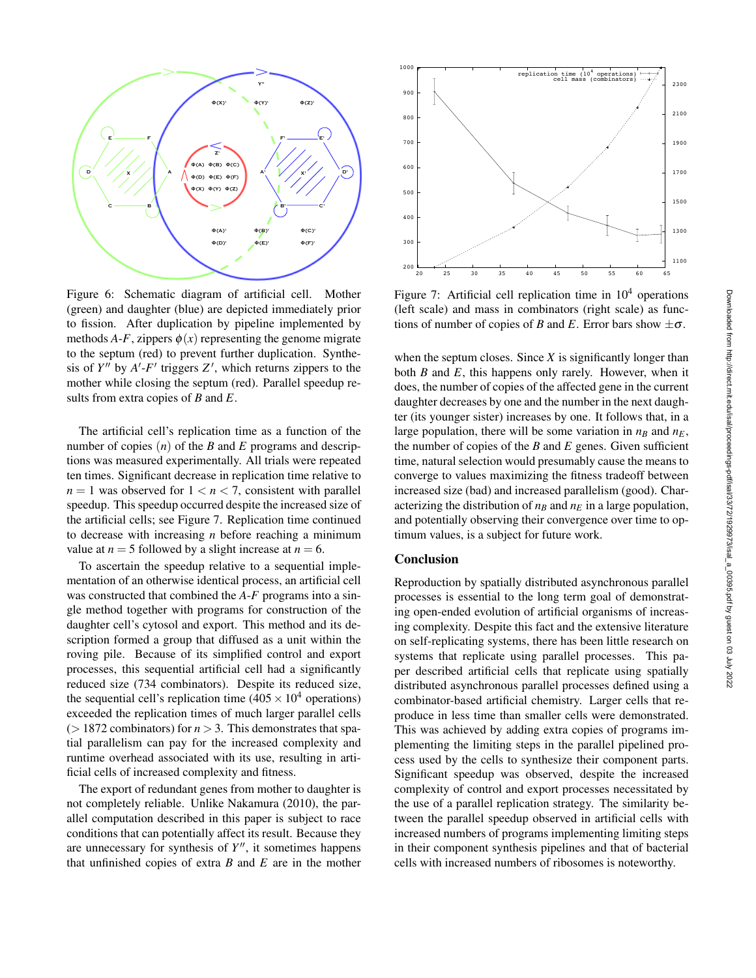

Figure 6: Schematic diagram of artificial cell. Mother (green) and daughter (blue) are depicted immediately prior to fission. After duplication by pipeline implemented by methods *A-F*, zippers  $\phi(x)$  representing the genome migrate to the septum (red) to prevent further duplication. Synthesis of  $Y''$  by  $A'$ - $F'$  triggers  $Z'$ , which returns zippers to the mother while closing the septum (red). Parallel speedup results from extra copies of *B* and *E*.

The artificial cell's replication time as a function of the number of copies (*n*) of the *B* and *E* programs and descriptions was measured experimentally. All trials were repeated ten times. Significant decrease in replication time relative to  $n = 1$  was observed for  $1 < n < 7$ , consistent with parallel speedup. This speedup occurred despite the increased size of the artificial cells; see Figure 7. Replication time continued to decrease with increasing *n* before reaching a minimum value at  $n = 5$  followed by a slight increase at  $n = 6$ .

To ascertain the speedup relative to a sequential implementation of an otherwise identical process, an artificial cell was constructed that combined the *A*-*F* programs into a single method together with programs for construction of the daughter cell's cytosol and export. This method and its description formed a group that diffused as a unit within the roving pile. Because of its simplified control and export processes, this sequential artificial cell had a significantly reduced size (734 combinators). Despite its reduced size, the sequential cell's replication time ( $405 \times 10^4$  operations) exceeded the replication times of much larger parallel cells  $($  > 1872 combinators) for  $n$  > 3. This demonstrates that spatial parallelism can pay for the increased complexity and runtime overhead associated with its use, resulting in artificial cells of increased complexity and fitness.

The export of redundant genes from mother to daughter is not completely reliable. Unlike Nakamura (2010), the parallel computation described in this paper is subject to race conditions that can potentially affect its result. Because they are unnecessary for synthesis of  $Y''$ , it sometimes happens that unfinished copies of extra *B* and *E* are in the mother



Figure 7: Artificial cell replication time in  $10<sup>4</sup>$  operations (left scale) and mass in combinators (right scale) as functions of number of copies of *B* and *E*. Error bars show  $\pm \sigma$ .

when the septum closes. Since *X* is significantly longer than both *B* and *E*, this happens only rarely. However, when it does, the number of copies of the affected gene in the current daughter decreases by one and the number in the next daughter (its younger sister) increases by one. It follows that, in a large population, there will be some variation in  $n_B$  and  $n_E$ , the number of copies of the *B* and *E* genes. Given sufficient time, natural selection would presumably cause the means to converge to values maximizing the fitness tradeoff between increased size (bad) and increased parallelism (good). Characterizing the distribution of  $n_B$  and  $n_E$  in a large population, and potentially observing their convergence over time to optimum values, is a subject for future work.

# Conclusion

Reproduction by spatially distributed asynchronous parallel processes is essential to the long term goal of demonstrating open-ended evolution of artificial organisms of increasing complexity. Despite this fact and the extensive literature on self-replicating systems, there has been little research on systems that replicate using parallel processes. This paper described artificial cells that replicate using spatially distributed asynchronous parallel processes defined using a combinator-based artificial chemistry. Larger cells that reproduce in less time than smaller cells were demonstrated. This was achieved by adding extra copies of programs implementing the limiting steps in the parallel pipelined process used by the cells to synthesize their component parts. Significant speedup was observed, despite the increased complexity of control and export processes necessitated by the use of a parallel replication strategy. The similarity between the parallel speedup observed in artificial cells with increased numbers of programs implementing limiting steps in their component synthesis pipelines and that of bacterial cells with increased numbers of ribosomes is noteworthy.